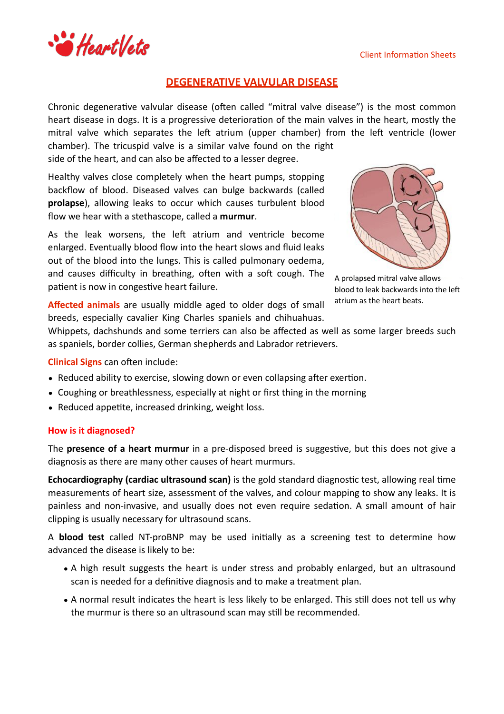

# **DEGENERATIVE VALVULAR DISEASE**

Chronic degenerative valvular disease (often called "mitral valve disease") is the most common heart disease in dogs. It is a progressive deterioration of the main valves in the heart, mostly the mitral valve which separates the left atrium (upper chamber) from the left ventricle (lower chamber). The tricuspid valve is a similar valve found on the right

side of the heart, and can also be affected to a lesser degree.

Healthy valves close completely when the heart pumps, stopping backflow of blood. Diseased valves can bulge backwards (called **prolapse**), allowing leaks to occur which causes turbulent blood flow we hear with a stethascope, called a murmur.

As the leak worsens, the left atrium and ventricle become enlarged. Eventually blood flow into the heart slows and fluid leaks out of the blood into the lungs. This is called pulmonary oedema, and causes difficulty in breathing, often with a soft cough. The patient is now in congestive heart failure.



A prolapsed mitral valve allows blood to leak backwards into the left atrium as the heart beats.

Affected animals are usually middle aged to older dogs of small breeds, especially cavalier King Charles spaniels and chihuahuas.

Whippets, dachshunds and some terriers can also be affected as well as some larger breeds such as spaniels, border collies, German shepherds and Labrador retrievers.

**Clinical Signs** can often include:

- Reduced ability to exercise, slowing down or even collapsing after exertion.
- Coughing or breathlessness, especially at night or first thing in the morning
- Reduced appetite, increased drinking, weight loss.

### **How is it diagnosed?**

The **presence of a heart murmur** in a pre-disposed breed is suggestive, but this does not give a diagnosis as there are many other causes of heart murmurs.

**Echocardiography (cardiac ultrasound scan)** is the gold standard diagnostic test, allowing real time measurements of heart size, assessment of the valves, and colour mapping to show any leaks. It is painless and non-invasive, and usually does not even require sedation. A small amount of hair clipping is usually necessary for ultrasound scans.

A **blood test** called NT-proBNP may be used initially as a screening test to determine how advanced the disease is likely to be:

- A high result suggests the heart is under stress and probably enlarged, but an ultrasound scan is needed for a definitive diagnosis and to make a treatment plan.
- A normal result indicates the heart is less likely to be enlarged. This still does not tell us why the murmur is there so an ultrasound scan may still be recommended.